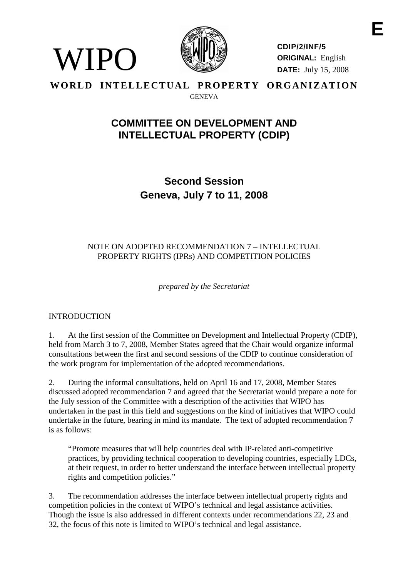

**CDIP/2/INF/5 ORIGINAL:** English **DATE:** July 15, 2008

#### **WORLD INTELLECTUAL PROPERTY ORGANIZATION** GENEVA

# **COMMITTEE ON DEVELOPMENT AND INTELLECTUAL PROPERTY (CDIP)**

**Second Session Geneva, July 7 to 11, 2008**

## NOTE ON ADOPTED RECOMMENDATION 7 – INTELLECTUAL PROPERTY RIGHTS (IPRs) AND COMPETITION POLICIES

*prepared by the Secretariat*

# INTRODUCTION

 $\langle$ IPO

1. At the first session of the Committee on Development and Intellectual Property (CDIP), held from March 3 to 7, 2008, Member States agreed that the Chair would organize informal consultations between the first and second sessions of the CDIP to continue consideration of the work program for implementation of the adopted recommendations.

2. During the informal consultations, held on April 16 and 17, 2008, Member States discussed adopted recommendation 7 and agreed that the Secretariat would prepare a note for the July session of the Committee with a description of the activities that WIPO has undertaken in the past in this field and suggestions on the kind of initiatives that WIPO could undertake in the future, bearing in mind its mandate. The text of adopted recommendation 7 is as follows:

"Promote measures that will help countries deal with IP-related anti-competitive practices, by providing technical cooperation to developing countries, especially LDCs, at their request, in order to better understand the interface between intellectual property rights and competition policies."

3. The recommendation addresses the interface between intellectual property rights and competition policies in the context of WIPO's technical and legal assistance activities. Though the issue is also addressed in different contexts under recommendations 22, 23 and 32, the focus of this note is limited to WIPO's technical and legal assistance.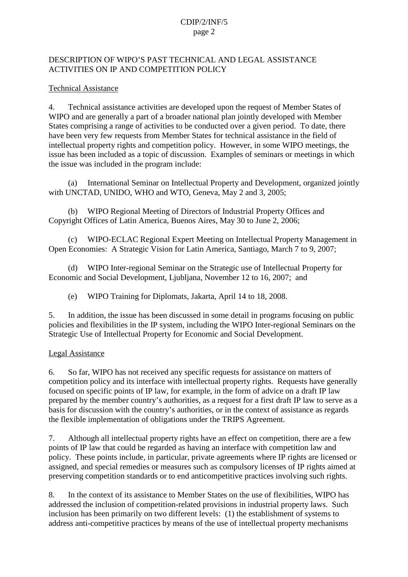### CDIP/2/INF/5 page 2

#### DESCRIPTION OF WIPO'S PAST TECHNICAL AND LEGAL ASSISTANCE ACTIVITIES ON IP AND COMPETITION POLICY

#### Technical Assistance

4. Technical assistance activities are developed upon the request of Member States of WIPO and are generally a part of a broader national plan jointly developed with Member States comprising a range of activities to be conducted over a given period. To date, there have been very few requests from Member States for technical assistance in the field of intellectual property rights and competition policy. However, in some WIPO meetings, the issue has been included as a topic of discussion. Examples of seminars or meetings in which the issue was included in the program include:

(a) International Seminar on Intellectual Property and Development, organized jointly with UNCTAD, UNIDO, WHO and WTO, Geneva, May 2 and 3, 2005;

(b) WIPO Regional Meeting of Directors of Industrial Property Offices and Copyright Offices of Latin America, Buenos Aires, May 30 to June 2, 2006;

(c) WIPO-ECLAC Regional Expert Meeting on Intellectual Property Management in Open Economies: A Strategic Vision for Latin America, Santiago, March 7 to 9, 2007;

(d) WIPO Inter-regional Seminar on the Strategic use of Intellectual Property for Economic and Social Development, Ljubljana, November 12 to 16, 2007; and

(e) WIPO Training for Diplomats, Jakarta, April 14 to 18, 2008.

5. In addition, the issue has been discussed in some detail in programs focusing on public policies and flexibilities in the IP system, including the WIPO Inter-regional Seminars on the Strategic Use of Intellectual Property for Economic and Social Development.

#### Legal Assistance

6. So far, WIPO has not received any specific requests for assistance on matters of competition policy and its interface with intellectual property rights. Requests have generally focused on specific points of IP law, for example, in the form of advice on a draft IP law prepared by the member country's authorities, as a request for a first draft IP law to serve as a basis for discussion with the country's authorities, or in the context of assistance as regards the flexible implementation of obligations under the TRIPS Agreement.

7. Although all intellectual property rights have an effect on competition, there are a few points of IP law that could be regarded as having an interface with competition law and policy. These points include, in particular, private agreements where IP rights are licensed or assigned, and special remedies or measures such as compulsory licenses of IP rights aimed at preserving competition standards or to end anticompetitive practices involving such rights.

8. In the context of its assistance to Member States on the use of flexibilities, WIPO has addressed the inclusion of competition-related provisions in industrial property laws. Such inclusion has been primarily on two different levels: (1) the establishment of systems to address anti-competitive practices by means of the use of intellectual property mechanisms